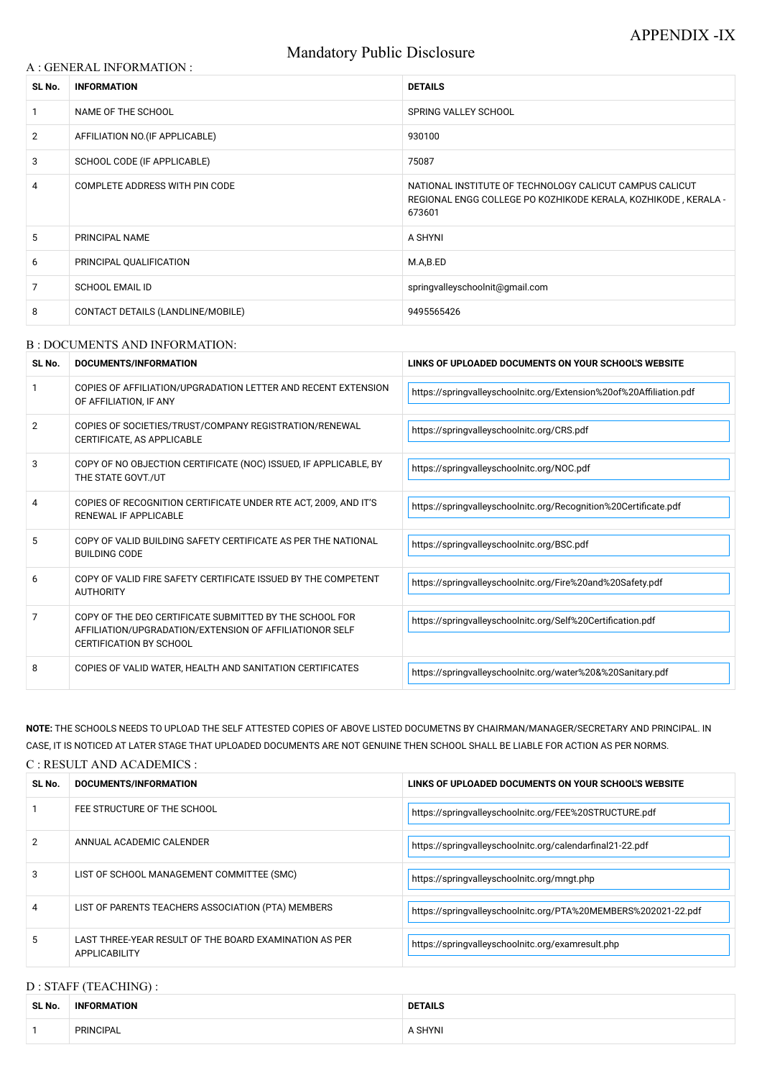# Mandatory Public Disclosure

### A : GENERAL INFORMATION :

| SL No.         | <b>INFORMATION</b>                | <b>DETAILS</b>                                                                                                                      |  |
|----------------|-----------------------------------|-------------------------------------------------------------------------------------------------------------------------------------|--|
|                | NAME OF THE SCHOOL                | <b>SPRING VALLEY SCHOOL</b>                                                                                                         |  |
| $\overline{2}$ | AFFILIATION NO. (IF APPLICABLE)   | 930100                                                                                                                              |  |
| 3              | SCHOOL CODE (IF APPLICABLE)       | 75087                                                                                                                               |  |
| 4              | COMPLETE ADDRESS WITH PIN CODE    | NATIONAL INSTITUTE OF TECHNOLOGY CALICUT CAMPUS CALICUT<br>REGIONAL ENGG COLLEGE PO KOZHIKODE KERALA, KOZHIKODE, KERALA -<br>673601 |  |
| 5              | <b>PRINCIPAL NAME</b>             | A SHYNI                                                                                                                             |  |
| 6              | PRINCIPAL QUALIFICATION           | M.A,B.ED                                                                                                                            |  |
| 7              | <b>SCHOOL EMAIL ID</b>            | springvalleyschoolnit@gmail.com                                                                                                     |  |
| 8              | CONTACT DETAILS (LANDLINE/MOBILE) | 9495565426                                                                                                                          |  |

### B : DOCUMENTS AND INFORMATION:

| SL No.         | DOCUMENTS/INFORMATION                                                                                                                                | LINKS OF UPLOADED DOCUMENTS ON YOUR SCHOOL'S WEBSITE                |  |
|----------------|------------------------------------------------------------------------------------------------------------------------------------------------------|---------------------------------------------------------------------|--|
|                | COPIES OF AFFILIATION/UPGRADATION LETTER AND RECENT EXTENSION<br>OF AFFILIATION, IF ANY                                                              | https://springvalleyschoolnitc.org/Extension%20of%20Affiliation.pdf |  |
| $\overline{2}$ | COPIES OF SOCIETIES/TRUST/COMPANY REGISTRATION/RENEWAL<br>CERTIFICATE, AS APPLICABLE                                                                 | https://springvalleyschoolnitc.org/CRS.pdf                          |  |
| 3              | COPY OF NO OBJECTION CERTIFICATE (NOC) ISSUED, IF APPLICABLE, BY<br>THE STATE GOVT./UT                                                               | https://springvalleyschoolnitc.org/NOC.pdf                          |  |
| 4              | COPIES OF RECOGNITION CERTIFICATE UNDER RTE ACT, 2009, AND IT'S<br>RENEWAL IF APPLICABLE                                                             | https://springvalleyschoolnitc.org/Recognition%20Certificate.pdf    |  |
| 5              | COPY OF VALID BUILDING SAFETY CERTIFICATE AS PER THE NATIONAL<br><b>BUILDING CODE</b>                                                                | https://springvalleyschoolnitc.org/BSC.pdf                          |  |
| 6              | COPY OF VALID FIRE SAFETY CERTIFICATE ISSUED BY THE COMPETENT<br><b>AUTHORITY</b>                                                                    | https://springvalleyschoolnitc.org/Fire%20and%20Safety.pdf          |  |
| 7              | COPY OF THE DEO CERTIFICATE SUBMITTED BY THE SCHOOL FOR<br>AFFILIATION/UPGRADATION/EXTENSION OF AFFILIATIONOR SELF<br><b>CERTIFICATION BY SCHOOL</b> | https://springvalleyschoolnitc.org/Self%20Certification.pdf         |  |
| 8              | COPIES OF VALID WATER, HEALTH AND SANITATION CERTIFICATES                                                                                            | https://springvalleyschoolnitc.org/water%20&%20Sanitary.pdf         |  |

|   |                                                                                | TROS.//Springvaneyscripturity.org/FEE%20STRUCTURE.pdf          |
|---|--------------------------------------------------------------------------------|----------------------------------------------------------------|
| 2 | ANNUAL ACADEMIC CALENDER                                                       | https://springvalleyschoolnitc.org/calendarfinal21-22.pdf      |
| 3 | LIST OF SCHOOL MANAGEMENT COMMITTEE (SMC)                                      | https://springvalleyschoolnitc.org/mngt.php                    |
| 4 | LIST OF PARENTS TEACHERS ASSOCIATION (PTA) MEMBERS                             | https://springvalleyschoolnitc.org/PTA%20MEMBERS%202021-22.pdf |
| 5 | LAST THREE-YEAR RESULT OF THE BOARD EXAMINATION AS PER<br><b>APPLICABILITY</b> | https://springvalleyschoolnitc.org/examresult.php              |

**NOTE:** THE SCHOOLS NEEDS TO UPLOAD THE SELF ATTESTED COPIES OF ABOVE LISTED DOCUMETNS BY CHAIRMAN/MANAGER/SECRETARY AND PRINCIPAL. IN CASE, IT IS NOTICED AT LATER STAGE THAT UPLOADED DOCUMENTS ARE NOT GENUINE THEN SCHOOL SHALL BE LIABLE FOR ACTION AS PER NORMS.

### C : RESULT AND ACADEMICS :

| <b>SL No</b> | DOCUMENTS/INFORMATION       | LINKS OF UPLOADED DOCUMENTS ON YOUR SCHOOL'S WEBSITE   |
|--------------|-----------------------------|--------------------------------------------------------|
|              | FEE STRUCTURE OF THE SCHOOL | https://springvalleyschoolnitc.org/FEE%20STRUCTURE.pdf |

# D : STAFF (TEACHING) :

| SL No. | <b>INFORMATION</b> | DETAILS      |
|--------|--------------------|--------------|
|        | PRINCIPAL          | <b>SHYNI</b> |